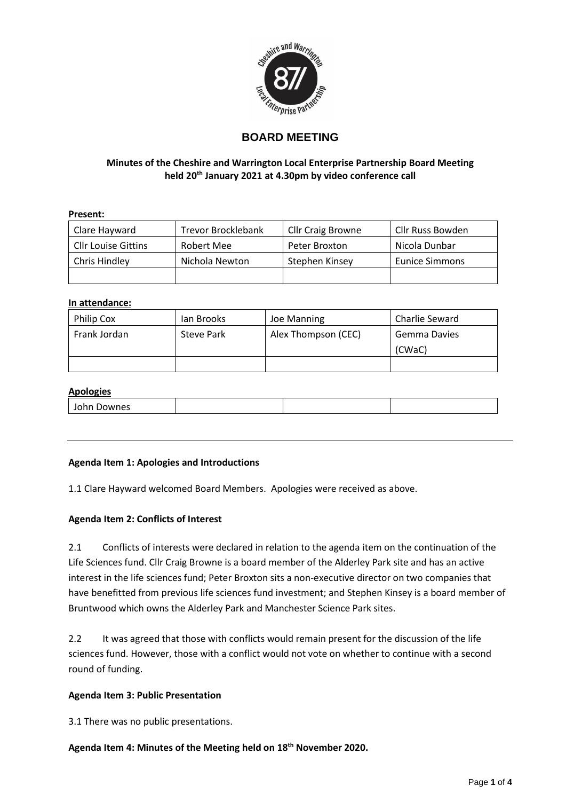

# **BOARD MEETING**

## **Minutes of the Cheshire and Warrington Local Enterprise Partnership Board Meeting held 20th January 2021 at 4.30pm by video conference call**

## **Present:**

| Clare Hayward              | <b>Trevor Brocklebank</b> | Cllr Craig Browne | Cllr Russ Bowden      |
|----------------------------|---------------------------|-------------------|-----------------------|
| <b>Cllr Louise Gittins</b> | Robert Mee                | Peter Broxton     | Nicola Dunbar         |
| Chris Hindley              | Nichola Newton            | Stephen Kinsey    | <b>Eunice Simmons</b> |
|                            |                           |                   |                       |

## **In attendance:**

| Philip Cox   | lan Brooks | Joe Manning         | Charlie Seward |
|--------------|------------|---------------------|----------------|
| Frank Jordan | Steve Park | Alex Thompson (CEC) | Gemma Davies   |
|              |            |                     | (CWaC)         |
|              |            |                     |                |

## **Apologies**

| ,,,,,,, |  |  |
|---------|--|--|
|         |  |  |

## **Agenda Item 1: Apologies and Introductions**

1.1 Clare Hayward welcomed Board Members. Apologies were received as above.

## **Agenda Item 2: Conflicts of Interest**

2.1 Conflicts of interests were declared in relation to the agenda item on the continuation of the Life Sciences fund. Cllr Craig Browne is a board member of the Alderley Park site and has an active interest in the life sciences fund; Peter Broxton sits a non-executive director on two companies that have benefitted from previous life sciences fund investment; and Stephen Kinsey is a board member of Bruntwood which owns the Alderley Park and Manchester Science Park sites.

2.2 It was agreed that those with conflicts would remain present for the discussion of the life sciences fund. However, those with a conflict would not vote on whether to continue with a second round of funding.

## **Agenda Item 3: Public Presentation**

3.1 There was no public presentations.

**Agenda Item 4: Minutes of the Meeting held on 18th November 2020.**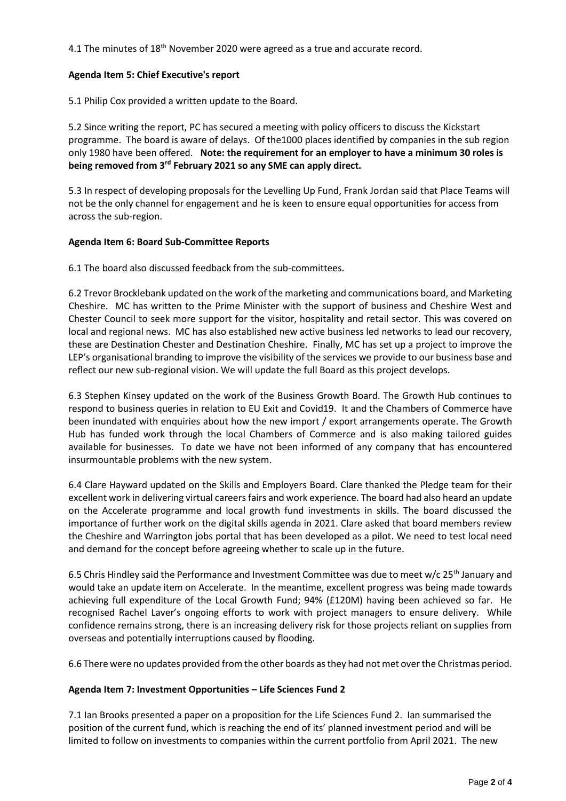4.1 The minutes of 18<sup>th</sup> November 2020 were agreed as a true and accurate record.

## **Agenda Item 5: Chief Executive's report**

5.1 Philip Cox provided a written update to the Board.

5.2 Since writing the report, PC has secured a meeting with policy officers to discuss the Kickstart programme. The board is aware of delays. Of the1000 places identified by companies in the sub region only 1980 have been offered. **Note: the requirement for an employer to have a minimum 30 roles is being removed from 3rd February 2021 so any SME can apply direct.** 

5.3 In respect of developing proposals for the Levelling Up Fund, Frank Jordan said that Place Teams will not be the only channel for engagement and he is keen to ensure equal opportunities for access from across the sub-region.

## **Agenda Item 6: Board Sub-Committee Reports**

6.1 The board also discussed feedback from the sub-committees.

6.2 Trevor Brocklebank updated on the work of the marketing and communications board, and Marketing Cheshire. MC has written to the Prime Minister with the support of business and Cheshire West and Chester Council to seek more support for the visitor, hospitality and retail sector. This was covered on local and regional news. MC has also established new active business led networks to lead our recovery, these are Destination Chester and Destination Cheshire. Finally, MC has set up a project to improve the LEP's organisational branding to improve the visibility of the services we provide to our business base and reflect our new sub-regional vision. We will update the full Board as this project develops.

6.3 Stephen Kinsey updated on the work of the Business Growth Board. The Growth Hub continues to respond to business queries in relation to EU Exit and Covid19. It and the Chambers of Commerce have been inundated with enquiries about how the new import / export arrangements operate. The Growth Hub has funded work through the local Chambers of Commerce and is also making tailored guides available for businesses. To date we have not been informed of any company that has encountered insurmountable problems with the new system.

6.4 Clare Hayward updated on the Skills and Employers Board. Clare thanked the Pledge team for their excellent work in delivering virtual careers fairs and work experience. The board had also heard an update on the Accelerate programme and local growth fund investments in skills. The board discussed the importance of further work on the digital skills agenda in 2021. Clare asked that board members review the Cheshire and Warrington jobs portal that has been developed as a pilot. We need to test local need and demand for the concept before agreeing whether to scale up in the future.

6.5 Chris Hindley said the Performance and Investment Committee was due to meet w/c 25<sup>th</sup> January and would take an update item on Accelerate. In the meantime, excellent progress was being made towards achieving full expenditure of the Local Growth Fund; 94% (£120M) having been achieved so far. He recognised Rachel Laver's ongoing efforts to work with project managers to ensure delivery. While confidence remains strong, there is an increasing delivery risk for those projects reliant on supplies from overseas and potentially interruptions caused by flooding.

6.6 There were no updates provided from the other boards as they had not met over the Christmas period.

## **Agenda Item 7: Investment Opportunities – Life Sciences Fund 2**

7.1 Ian Brooks presented a paper on a proposition for the Life Sciences Fund 2. Ian summarised the position of the current fund, which is reaching the end of its' planned investment period and will be limited to follow on investments to companies within the current portfolio from April 2021. The new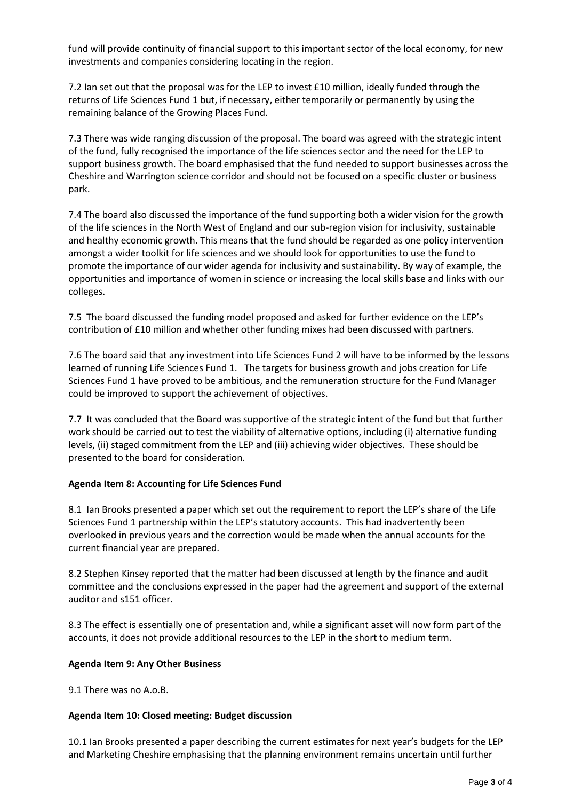fund will provide continuity of financial support to this important sector of the local economy, for new investments and companies considering locating in the region.

7.2 Ian set out that the proposal was for the LEP to invest £10 million, ideally funded through the returns of Life Sciences Fund 1 but, if necessary, either temporarily or permanently by using the remaining balance of the Growing Places Fund.

7.3 There was wide ranging discussion of the proposal. The board was agreed with the strategic intent of the fund, fully recognised the importance of the life sciences sector and the need for the LEP to support business growth. The board emphasised that the fund needed to support businesses across the Cheshire and Warrington science corridor and should not be focused on a specific cluster or business park.

7.4 The board also discussed the importance of the fund supporting both a wider vision for the growth of the life sciences in the North West of England and our sub-region vision for inclusivity, sustainable and healthy economic growth. This means that the fund should be regarded as one policy intervention amongst a wider toolkit for life sciences and we should look for opportunities to use the fund to promote the importance of our wider agenda for inclusivity and sustainability. By way of example, the opportunities and importance of women in science or increasing the local skills base and links with our colleges.

7.5 The board discussed the funding model proposed and asked for further evidence on the LEP's contribution of £10 million and whether other funding mixes had been discussed with partners.

7.6 The board said that any investment into Life Sciences Fund 2 will have to be informed by the lessons learned of running Life Sciences Fund 1. The targets for business growth and jobs creation for Life Sciences Fund 1 have proved to be ambitious, and the remuneration structure for the Fund Manager could be improved to support the achievement of objectives.

7.7 It was concluded that the Board was supportive of the strategic intent of the fund but that further work should be carried out to test the viability of alternative options, including (i) alternative funding levels, (ii) staged commitment from the LEP and (iii) achieving wider objectives. These should be presented to the board for consideration.

## **Agenda Item 8: Accounting for Life Sciences Fund**

8.1 Ian Brooks presented a paper which set out the requirement to report the LEP's share of the Life Sciences Fund 1 partnership within the LEP's statutory accounts. This had inadvertently been overlooked in previous years and the correction would be made when the annual accounts for the current financial year are prepared.

8.2 Stephen Kinsey reported that the matter had been discussed at length by the finance and audit committee and the conclusions expressed in the paper had the agreement and support of the external auditor and s151 officer.

8.3 The effect is essentially one of presentation and, while a significant asset will now form part of the accounts, it does not provide additional resources to the LEP in the short to medium term.

## **Agenda Item 9: Any Other Business**

9.1 There was no A.o.B.

## **Agenda Item 10: Closed meeting: Budget discussion**

10.1 Ian Brooks presented a paper describing the current estimates for next year's budgets for the LEP and Marketing Cheshire emphasising that the planning environment remains uncertain until further